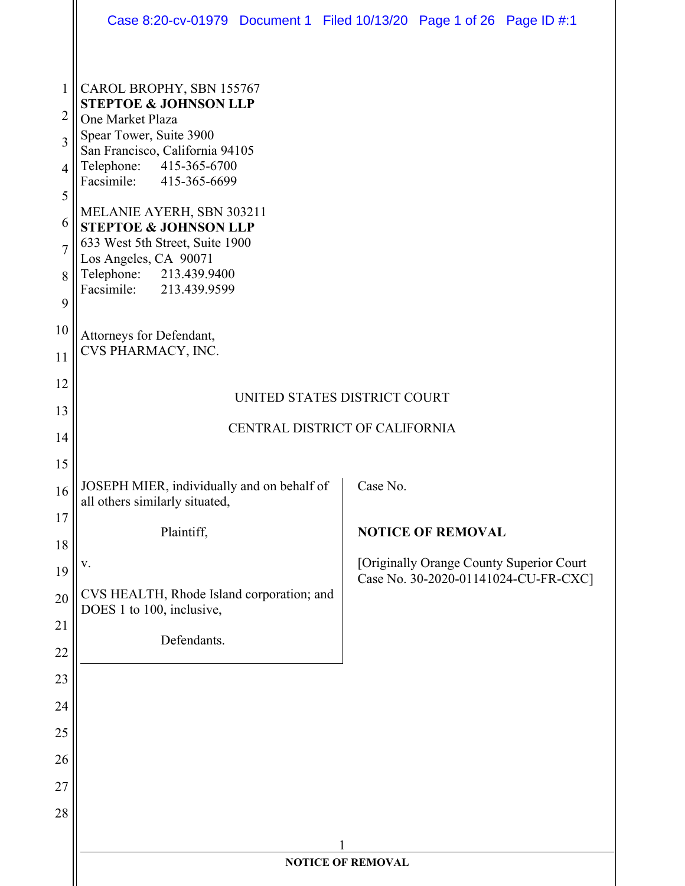|                | Case 8:20-cv-01979 Document 1 Filed 10/13/20 Page 1 of 26 Page ID #:1                               |  |                                          |                                      |  |  |  |  |
|----------------|-----------------------------------------------------------------------------------------------------|--|------------------------------------------|--------------------------------------|--|--|--|--|
|                |                                                                                                     |  |                                          |                                      |  |  |  |  |
| $\mathbf{1}$   | CAROL BROPHY, SBN 155767                                                                            |  |                                          |                                      |  |  |  |  |
| $\overline{2}$ | <b>STEPTOE &amp; JOHNSON LLP</b><br>One Market Plaza                                                |  |                                          |                                      |  |  |  |  |
| 3              | Spear Tower, Suite 3900<br>San Francisco, California 94105                                          |  |                                          |                                      |  |  |  |  |
| $\overline{4}$ | Telephone: 415-365-6700<br>Facsimile: 415-365-6699                                                  |  |                                          |                                      |  |  |  |  |
| 5              | MELANIE AYERH, SBN 303211                                                                           |  |                                          |                                      |  |  |  |  |
| 6              | <b>STEPTOE &amp; JOHNSON LLP</b>                                                                    |  |                                          |                                      |  |  |  |  |
| $\overline{7}$ | 633 West 5th Street, Suite 1900<br>Los Angeles, CA 90071                                            |  |                                          |                                      |  |  |  |  |
| 8              | Telephone: 213.439.9400<br>Facsimile: 213.439.9599                                                  |  |                                          |                                      |  |  |  |  |
| 9              |                                                                                                     |  |                                          |                                      |  |  |  |  |
| 10             | Attorneys for Defendant,                                                                            |  |                                          |                                      |  |  |  |  |
| 11             | CVS PHARMACY, INC.                                                                                  |  |                                          |                                      |  |  |  |  |
| 12             | UNITED STATES DISTRICT COURT                                                                        |  |                                          |                                      |  |  |  |  |
| 13             | CENTRAL DISTRICT OF CALIFORNIA                                                                      |  |                                          |                                      |  |  |  |  |
| 14             |                                                                                                     |  |                                          |                                      |  |  |  |  |
| 15             |                                                                                                     |  | Case No.                                 |                                      |  |  |  |  |
| 16             | JOSEPH MIER, individually and on behalf of<br>all others similarly situated,                        |  |                                          |                                      |  |  |  |  |
| 17             | Plaintiff,<br>${\bf V}$ .<br>CVS HEALTH, Rhode Island corporation; and<br>DOES 1 to 100, inclusive, |  |                                          | <b>NOTICE OF REMOVAL</b>             |  |  |  |  |
| 18             |                                                                                                     |  | [Originally Orange County Superior Court |                                      |  |  |  |  |
| 19             |                                                                                                     |  |                                          | Case No. 30-2020-01141024-CU-FR-CXC] |  |  |  |  |
| 20             |                                                                                                     |  |                                          |                                      |  |  |  |  |
| 21             | Defendants.                                                                                         |  |                                          |                                      |  |  |  |  |
| 22             |                                                                                                     |  |                                          |                                      |  |  |  |  |
| 23             |                                                                                                     |  |                                          |                                      |  |  |  |  |
| 24<br>25       |                                                                                                     |  |                                          |                                      |  |  |  |  |
| 26             |                                                                                                     |  |                                          |                                      |  |  |  |  |
| 27             |                                                                                                     |  |                                          |                                      |  |  |  |  |
| 28             |                                                                                                     |  |                                          |                                      |  |  |  |  |
|                |                                                                                                     |  |                                          |                                      |  |  |  |  |
|                | 1<br><b>NOTICE OF REMOVAL</b>                                                                       |  |                                          |                                      |  |  |  |  |
|                |                                                                                                     |  |                                          |                                      |  |  |  |  |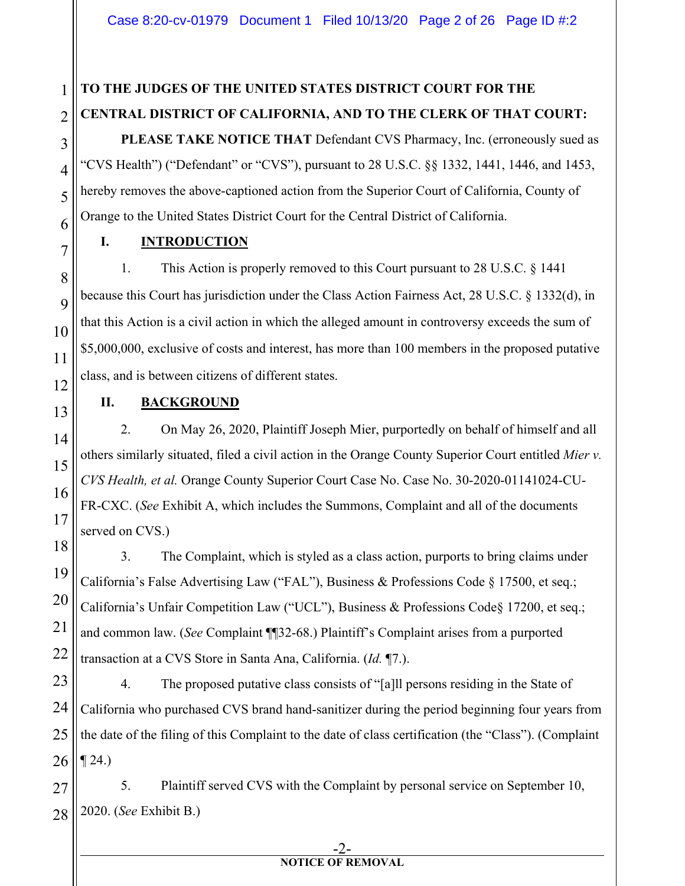# **TO THE JUDGES OF THE UNITED STATES DISTRICT COURT FOR THE CENTRAL DISTRICT OF CALIFORNIA, AND TO THE CLERK OF THAT COURT:**

**PLEASE TAKE NOTICE THAT** Defendant CVS Pharmacy, Inc. (erroneously sued as "CVS Health") ("Defendant" or "CVS"), pursuant to 28 U.S.C. §§ 1332, 1441, 1446, and 1453, hereby removes the above-captioned action from the Superior Court of California, County of Orange to the United States District Court for the Central District of California.

**I. INTRODUCTION**

1. This Action is properly removed to this Court pursuant to 28 U.S.C. § 1441 because this Court has jurisdiction under the Class Action Fairness Act, 28 U.S.C. § 1332(d), in that this Action is a civil action in which the alleged amount in controversy exceeds the sum of \$5,000,000, exclusive of costs and interest, has more than 100 members in the proposed putative class, and is between citizens of different states.

**II. BACKGROUND**

2. On May 26, 2020, Plaintiff Joseph Mier, purportedly on behalf of himself and all others similarly situated, filed a civil action in the Orange County Superior Court entitled *Mier v. CVS Health, et al.* Orange County Superior Court Case No. Case No. 30-2020-01141024-CU-FR-CXC. (*See* Exhibit A, which includes the Summons, Complaint and all of the documents served on CVS.)

3. The Complaint, which is styled as a class action, purports to bring claims under California's False Advertising Law ("FAL"), Business & Professions Code § 17500, et seq.; California's Unfair Competition Law ("UCL"), Business & Professions Code§ 17200, et seq.; and common law. (*See* Complaint ¶¶32-68.) Plaintiff's Complaint arises from a purported transaction at a CVS Store in Santa Ana, California. (*Id.* ¶7.).

4. The proposed putative class consists of "[a]ll persons residing in the State of California who purchased CVS brand hand-sanitizer during the period beginning four years from the date of the filing of this Complaint to the date of class certification (the "Class"). (Complaint  $\P$  24.)

27 28 5. Plaintiff served CVS with the Complaint by personal service on September 10, 2020. (*See* Exhibit B.)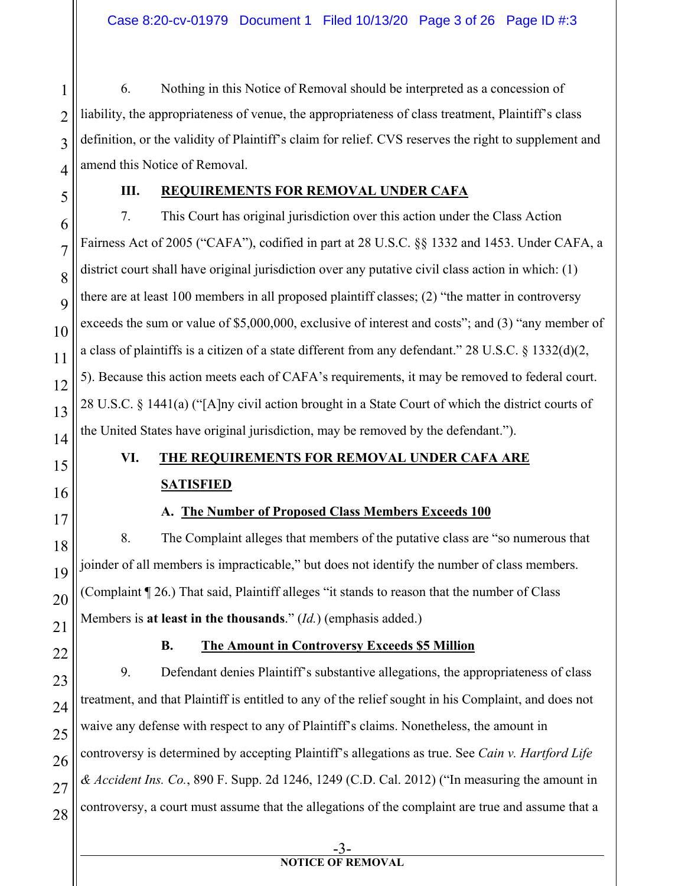1 2 3 4 6. Nothing in this Notice of Removal should be interpreted as a concession of liability, the appropriateness of venue, the appropriateness of class treatment, Plaintiff's class definition, or the validity of Plaintiff's claim for relief. CVS reserves the right to supplement and amend this Notice of Removal.

5

### **III. REQUIREMENTS FOR REMOVAL UNDER CAFA**

6 7 8  $\overline{Q}$ 10 11 12 13 14 7. This Court has original jurisdiction over this action under the Class Action Fairness Act of 2005 ("CAFA"), codified in part at 28 U.S.C. §§ 1332 and 1453. Under CAFA, a district court shall have original jurisdiction over any putative civil class action in which: (1) there are at least 100 members in all proposed plaintiff classes; (2) "the matter in controversy exceeds the sum or value of \$5,000,000, exclusive of interest and costs"; and (3) "any member of a class of plaintiffs is a citizen of a state different from any defendant." 28 U.S.C. § 1332(d)(2, 5). Because this action meets each of CAFA's requirements, it may be removed to federal court. 28 U.S.C. § 1441(a) ("[A]ny civil action brought in a State Court of which the district courts of the United States have original jurisdiction, may be removed by the defendant.").

# 15 16 17 18

19

20

21

22

27

# **VI. THE REQUIREMENTS FOR REMOVAL UNDER CAFA ARE SATISFIED**

## **A. The Number of Proposed Class Members Exceeds 100**

8. The Complaint alleges that members of the putative class are "so numerous that joinder of all members is impracticable," but does not identify the number of class members. (Complaint ¶ 26.) That said, Plaintiff alleges "it stands to reason that the number of Class Members is **at least in the thousands**." (*Id.*) (emphasis added.)

## **B. The Amount in Controversy Exceeds \$5 Million**

23 24 25 26 28 9. Defendant denies Plaintiff's substantive allegations, the appropriateness of class treatment, and that Plaintiff is entitled to any of the relief sought in his Complaint, and does not waive any defense with respect to any of Plaintiff's claims. Nonetheless, the amount in controversy is determined by accepting Plaintiff's allegations as true. See *Cain v. Hartford Life & Accident Ins. Co.*, 890 F. Supp. 2d 1246, 1249 (C.D. Cal. 2012) ("In measuring the amount in controversy, a court must assume that the allegations of the complaint are true and assume that a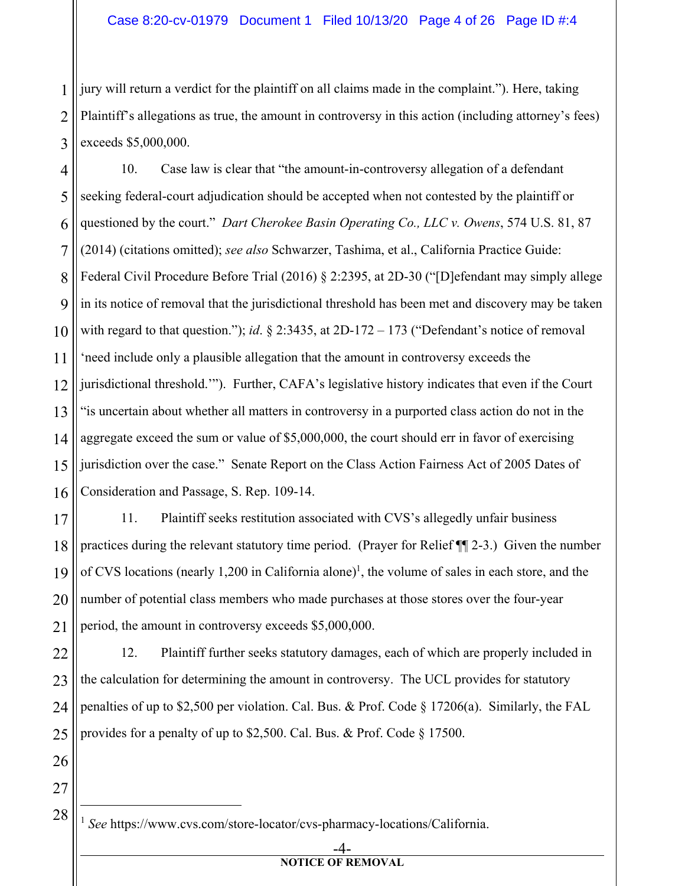1 2 3 jury will return a verdict for the plaintiff on all claims made in the complaint."). Here, taking Plaintiff's allegations as true, the amount in controversy in this action (including attorney's fees) exceeds \$5,000,000.

4 5 6 7 8 9 10 11 12 13 14 15 16 10. Case law is clear that "the amount-in-controversy allegation of a defendant seeking federal-court adjudication should be accepted when not contested by the plaintiff or questioned by the court." *Dart Cherokee Basin Operating Co., LLC v. Owens*, 574 U.S. 81, 87 (2014) (citations omitted); *see also* Schwarzer, Tashima, et al., California Practice Guide: Federal Civil Procedure Before Trial (2016) § 2:2395, at 2D-30 ("[D]efendant may simply allege in its notice of removal that the jurisdictional threshold has been met and discovery may be taken with regard to that question."); *id*. § 2:3435, at 2D-172 – 173 ("Defendant's notice of removal 'need include only a plausible allegation that the amount in controversy exceeds the jurisdictional threshold.'"). Further, CAFA's legislative history indicates that even if the Court "is uncertain about whether all matters in controversy in a purported class action do not in the aggregate exceed the sum or value of \$5,000,000, the court should err in favor of exercising jurisdiction over the case." Senate Report on the Class Action Fairness Act of 2005 Dates of Consideration and Passage, S. Rep. 109-14.

17 18 19 20 21 11. Plaintiff seeks restitution associated with CVS's allegedly unfair business practices during the relevant statutory time period. (Prayer for Relief ¶¶ 2-3.) Given the number of CVS locations (nearly 1,200 in California alone)<sup>1</sup>, the volume of sales in each store, and the number of potential class members who made purchases at those stores over the four-year period, the amount in controversy exceeds \$5,000,000.

22 23 24 25 12. Plaintiff further seeks statutory damages, each of which are properly included in the calculation for determining the amount in controversy. The UCL provides for statutory penalties of up to \$2,500 per violation. Cal. Bus. & Prof. Code § 17206(a). Similarly, the FAL provides for a penalty of up to \$2,500. Cal. Bus. & Prof. Code § 17500.

27 28

<sup>1</sup> *See* https://www.cvs.com/store-locator/cvs-pharmacy-locations/California.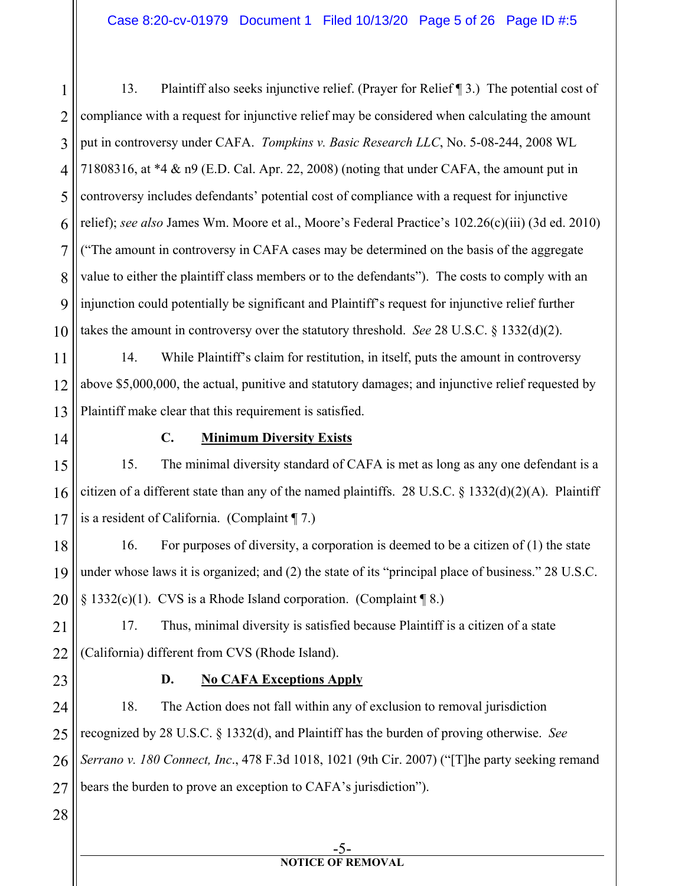1 2 3 4 5 6 7 8 9 10 13. Plaintiff also seeks injunctive relief. (Prayer for Relief ¶ 3.) The potential cost of compliance with a request for injunctive relief may be considered when calculating the amount put in controversy under CAFA. *Tompkins v. Basic Research LLC*, No. 5-08-244, 2008 WL 71808316, at \*4 & n9 (E.D. Cal. Apr. 22, 2008) (noting that under CAFA, the amount put in controversy includes defendants' potential cost of compliance with a request for injunctive relief); *see also* James Wm. Moore et al., Moore's Federal Practice's 102.26(c)(iii) (3d ed. 2010) ("The amount in controversy in CAFA cases may be determined on the basis of the aggregate value to either the plaintiff class members or to the defendants"). The costs to comply with an injunction could potentially be significant and Plaintiff's request for injunctive relief further takes the amount in controversy over the statutory threshold. *See* 28 U.S.C. § 1332(d)(2).

11 12 13 14. While Plaintiff's claim for restitution, in itself, puts the amount in controversy above \$5,000,000, the actual, punitive and statutory damages; and injunctive relief requested by Plaintiff make clear that this requirement is satisfied.

14

#### **C. Minimum Diversity Exists**

15 16 17 15. The minimal diversity standard of CAFA is met as long as any one defendant is a citizen of a different state than any of the named plaintiffs. 28 U.S.C. § 1332(d)(2)(A). Plaintiff is a resident of California. (Complaint ¶ 7.)

18 19 20 16. For purposes of diversity, a corporation is deemed to be a citizen of (1) the state under whose laws it is organized; and (2) the state of its "principal place of business." 28 U.S.C. § 1332(c)(1). CVS is a Rhode Island corporation. (Complaint ¶ 8.)

21 22 17. Thus, minimal diversity is satisfied because Plaintiff is a citizen of a state (California) different from CVS (Rhode Island).

23

#### **D. No CAFA Exceptions Apply**

24 25 26 27 18. The Action does not fall within any of exclusion to removal jurisdiction recognized by 28 U.S.C. § 1332(d), and Plaintiff has the burden of proving otherwise. *See Serrano v. 180 Connect, Inc*., 478 F.3d 1018, 1021 (9th Cir. 2007) ("[T]he party seeking remand bears the burden to prove an exception to CAFA's jurisdiction").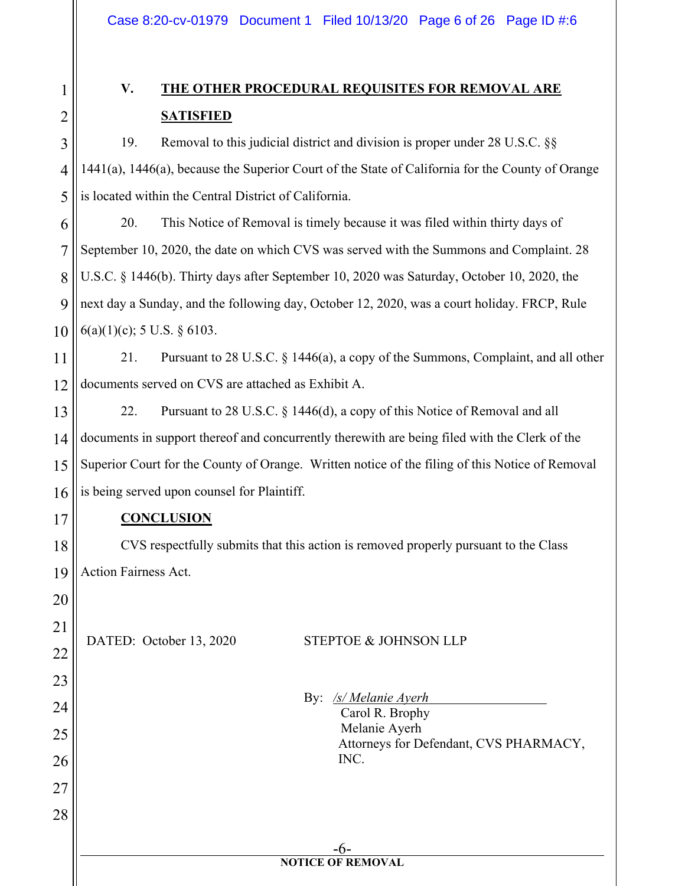1 2

3

4

5

17

18

19

20

21

22

23

24

25

26

27

28

# **V. THE OTHER PROCEDURAL REQUISITES FOR REMOVAL ARE SATISFIED**

19. Removal to this judicial district and division is proper under 28 U.S.C. §§ 1441(a), 1446(a), because the Superior Court of the State of California for the County of Orange is located within the Central District of California.

6 7 8 9 10 20. This Notice of Removal is timely because it was filed within thirty days of September 10, 2020, the date on which CVS was served with the Summons and Complaint. 28 U.S.C. § 1446(b). Thirty days after September 10, 2020 was Saturday, October 10, 2020, the next day a Sunday, and the following day, October 12, 2020, was a court holiday. FRCP, Rule  $6(a)(1)(c)$ ; 5 U.S. § 6103.

11 12 21. Pursuant to 28 U.S.C. § 1446(a), a copy of the Summons, Complaint, and all other documents served on CVS are attached as Exhibit A.

13 14 15 16 22. Pursuant to 28 U.S.C. § 1446(d), a copy of this Notice of Removal and all documents in support thereof and concurrently therewith are being filed with the Clerk of the Superior Court for the County of Orange. Written notice of the filing of this Notice of Removal is being served upon counsel for Plaintiff.

### **CONCLUSION**

CVS respectfully submits that this action is removed properly pursuant to the Class Action Fairness Act.

#### DATED: October 13, 2020 STEPTOE & JOHNSON LLP

By: /s/ *Melanie Ayerh*  Carol R. Brophy Melanie Ayerh Attorneys for Defendant, CVS PHARMACY, INC.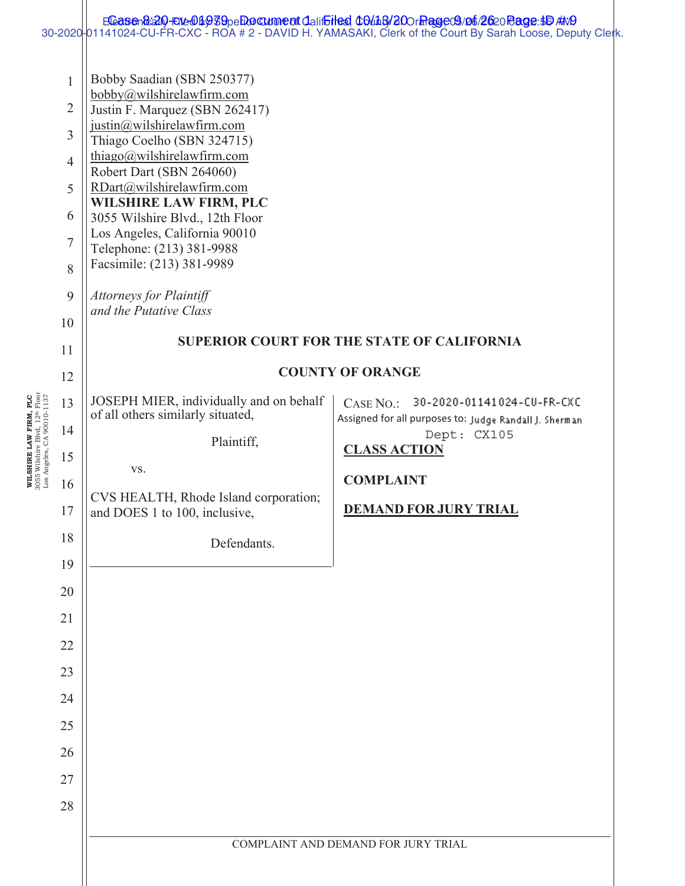|                            |                                                                                                   |                                                                                                                                                                                                                                                                                                                                                                                                                                                                                                                       | Eleasen&alo-Ele@Bedby Eden Danment Clatificited Colins/200r hage C3/06/2620 Page: \$D AND<br>30-2020-01141024-CU-FR-CXC - ROA # 2 - DAVID H. YAMASAKI, Clerk of the Court By Sarah Loose, Deputy Clerk. |  |  |  |  |  |
|----------------------------|---------------------------------------------------------------------------------------------------|-----------------------------------------------------------------------------------------------------------------------------------------------------------------------------------------------------------------------------------------------------------------------------------------------------------------------------------------------------------------------------------------------------------------------------------------------------------------------------------------------------------------------|---------------------------------------------------------------------------------------------------------------------------------------------------------------------------------------------------------|--|--|--|--|--|
|                            | $\mathbf{1}$<br>$\overline{2}$<br>3<br>$\overline{4}$<br>5<br>6<br>$\overline{7}$<br>8<br>9<br>10 | Bobby Saadian (SBN 250377)<br>bobby@wilshirelawfirm.com<br>Justin F. Marquez (SBN 262417)<br>justin@wilshirelawfirm.com<br>Thiago Coelho (SBN 324715)<br>thiago@wilshirelawfirm.com<br>Robert Dart (SBN 264060)<br>RDart@wilshirelawfirm.com<br>WILSHIRE LAW FIRM, PLC<br>3055 Wilshire Blvd., 12th Floor<br>Los Angeles, California 90010<br>Telephone: (213) 381-9988<br>Facsimile: (213) 381-9989<br><b>Attorneys for Plaintiff</b><br>and the Putative Class<br><b>SUPERIOR COURT FOR THE STATE OF CALIFORNIA</b> |                                                                                                                                                                                                         |  |  |  |  |  |
|                            | 11<br>12                                                                                          |                                                                                                                                                                                                                                                                                                                                                                                                                                                                                                                       | <b>COUNTY OF ORANGE</b>                                                                                                                                                                                 |  |  |  |  |  |
| Los Angeles, CA 90010-1137 | 13<br>14<br>15<br>16<br>17<br>18<br>19<br>20<br>21<br>22<br>23<br>24<br>25<br>26<br>27<br>28      | JOSEPH MIER, individually and on behalf<br>of all others similarly situated,<br>Plaintiff,<br>VS.<br>CVS HEALTH, Rhode Island corporation;<br>and DOES 1 to 100, inclusive,<br>Defendants.                                                                                                                                                                                                                                                                                                                            | CASE NO.: 30-2020-01141024-CU-FR-CXC<br>Assigned for all purposes to: Judge Randall J. Sherman<br>Dept: CX105<br><b>CLASS ACTION</b><br><b>COMPLAINT</b><br><b>DEMAND FOR JURY TRIAL</b>                |  |  |  |  |  |
|                            |                                                                                                   |                                                                                                                                                                                                                                                                                                                                                                                                                                                                                                                       | COMPLAINT AND DEMAND FOR JURY TRIAL                                                                                                                                                                     |  |  |  |  |  |

**WILSHIRE LAW FIRM, PLC**  3055 Wilshire Blvd, 12th Floor

WILSHIRE LAW FIRM, PLC<br>3055 Wilshire Blvd, 12<sup>th</sup> Floor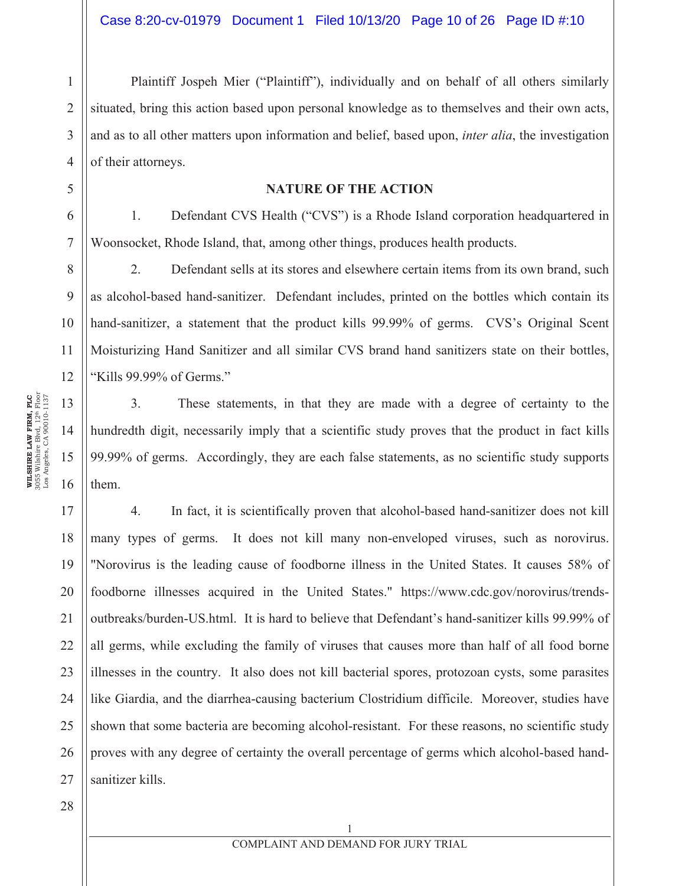Plaintiff Jospeh Mier ("Plaintiff"), individually and on behalf of all others similarly situated, bring this action based upon personal knowledge as to themselves and their own acts, and as to all other matters upon information and belief, based upon, *inter alia*, the investigation of their attorneys.

#### **NATURE OF THE ACTION**

1. Defendant CVS Health ("CVS") is a Rhode Island corporation headquartered in Woonsocket, Rhode Island, that, among other things, produces health products.

2. Defendant sells at its stores and elsewhere certain items from its own brand, such as alcohol-based hand-sanitizer. Defendant includes, printed on the bottles which contain its hand-sanitizer, a statement that the product kills 99.99% of germs. CVS's Original Scent Moisturizing Hand Sanitizer and all similar CVS brand hand sanitizers state on their bottles, "Kills 99.99% of Germs."

3. These statements, in that they are made with a degree of certainty to the hundredth digit, necessarily imply that a scientific study proves that the product in fact kills 99.99% of germs. Accordingly, they are each false statements, as no scientific study supports them.

17 18 19 20 21 22 23 24 25 26 27 4. In fact, it is scientifically proven that alcohol-based hand-sanitizer does not kill many types of germs. It does not kill many non-enveloped viruses, such as norovirus. "Norovirus is the leading cause of foodborne illness in the United States. It causes 58% of foodborne illnesses acquired in the United States." https://www.cdc.gov/norovirus/trendsoutbreaks/burden-US.html. It is hard to believe that Defendant's hand-sanitizer kills 99.99% of all germs, while excluding the family of viruses that causes more than half of all food borne illnesses in the country. It also does not kill bacterial spores, protozoan cysts, some parasites like Giardia, and the diarrhea-causing bacterium Clostridium difficile. Moreover, studies have shown that some bacteria are becoming alcohol-resistant. For these reasons, no scientific study proves with any degree of certainty the overall percentage of germs which alcohol-based handsanitizer kills.

28

1

2

3

4

5

6

7

8

9

10

11

12

13

14

15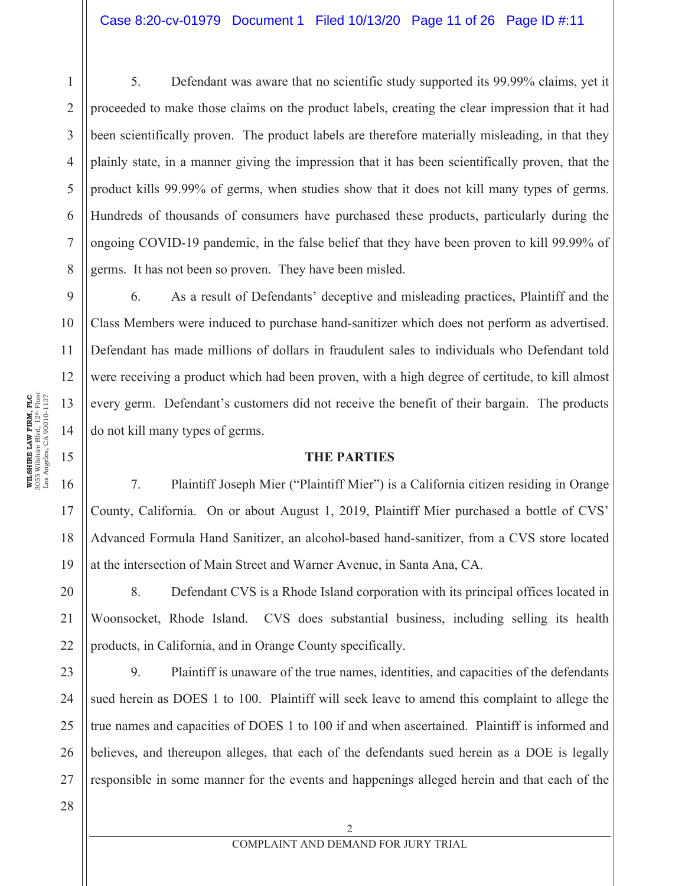5. Defendant was aware that no scientific study supported its 99.99% claims, yet it proceeded to make those claims on the product labels, creating the clear impression that it had been scientifically proven. The product labels are therefore materially misleading, in that they plainly state, in a manner giving the impression that it has been scientifically proven, that the product kills 99.99% of germs, when studies show that it does not kill many types of germs. Hundreds of thousands of consumers have purchased these products, particularly during the ongoing COVID-19 pandemic, in the false belief that they have been proven to kill 99.99% of germs. It has not been so proven. They have been misled.

9 10 11 12 13 14 6. As a result of Defendants' deceptive and misleading practices, Plaintiff and the Class Members were induced to purchase hand-sanitizer which does not perform as advertised. Defendant has made millions of dollars in fraudulent sales to individuals who Defendant told were receiving a product which had been proven, with a high degree of certitude, to kill almost every germ. Defendant's customers did not receive the benefit of their bargain. The products do not kill many types of germs.

#### **THE PARTIES**

7. Plaintiff Joseph Mier ("Plaintiff Mier") is a California citizen residing in Orange County, California. On or about August 1, 2019, Plaintiff Mier purchased a bottle of CVS' Advanced Formula Hand Sanitizer, an alcohol-based hand-sanitizer, from a CVS store located at the intersection of Main Street and Warner Avenue, in Santa Ana, CA.

20 21 22 8. Defendant CVS is a Rhode Island corporation with its principal offices located in Woonsocket, Rhode Island. CVS does substantial business, including selling its health products, in California, and in Orange County specifically.

23 24 25 26 27 9. Plaintiff is unaware of the true names, identities, and capacities of the defendants sued herein as DOES 1 to 100. Plaintiff will seek leave to amend this complaint to allege the true names and capacities of DOES 1 to 100 if and when ascertained. Plaintiff is informed and believes, and thereupon alleges, that each of the defendants sued herein as a DOE is legally responsible in some manner for the events and happenings alleged herein and that each of the

15

16

17

18

19

1

2

3

4

5

6

7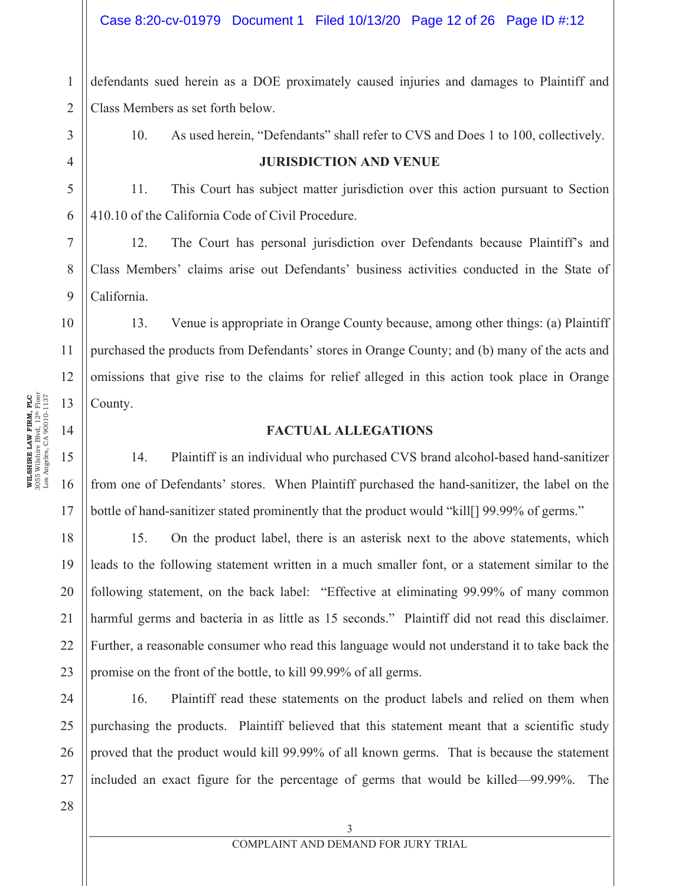### Case 8:20-cv-01979 Document 1 Filed 10/13/20 Page 12 of 26 Page ID #:12

1 2 defendants sued herein as a DOE proximately caused injuries and damages to Plaintiff and Class Members as set forth below.

3 4

5

6

7

8

9

10

11

12

13

14

15

16

17

10. As used herein, "Defendants" shall refer to CVS and Does 1 to 100, collectively.

#### **JURISDICTION AND VENUE**

11. This Court has subject matter jurisdiction over this action pursuant to Section 410.10 of the California Code of Civil Procedure.

12. The Court has personal jurisdiction over Defendants because Plaintiff's and Class Members' claims arise out Defendants' business activities conducted in the State of California.

13. Venue is appropriate in Orange County because, among other things: (a) Plaintiff purchased the products from Defendants' stores in Orange County; and (b) many of the acts and omissions that give rise to the claims for relief alleged in this action took place in Orange County.

#### **FACTUAL ALLEGATIONS**

14. Plaintiff is an individual who purchased CVS brand alcohol-based hand-sanitizer from one of Defendants' stores. When Plaintiff purchased the hand-sanitizer, the label on the bottle of hand-sanitizer stated prominently that the product would "kill [] 99.99% of germs."

18 19 20 21 22 23 15. On the product label, there is an asterisk next to the above statements, which leads to the following statement written in a much smaller font, or a statement similar to the following statement, on the back label: "Effective at eliminating 99.99% of many common harmful germs and bacteria in as little as 15 seconds." Plaintiff did not read this disclaimer. Further, a reasonable consumer who read this language would not understand it to take back the promise on the front of the bottle, to kill 99.99% of all germs.

24 25 26 16. Plaintiff read these statements on the product labels and relied on them when purchasing the products. Plaintiff believed that this statement meant that a scientific study proved that the product would kill 99.99% of all known germs. That is because the statement included an exact figure for the percentage of germs that would be killed—99.99%. The

3055 Wilshire Blvd, 12th Floor **WLSHIRE LAW FIRM, PLC**<br>3055 Wilshire Blvd, 12<sup>th</sup> Floor<br>Los Angeles, CA 90010-1137 Los Angeles, CA 90010-1137 **WILSHIRE LAW FIRM, PLC**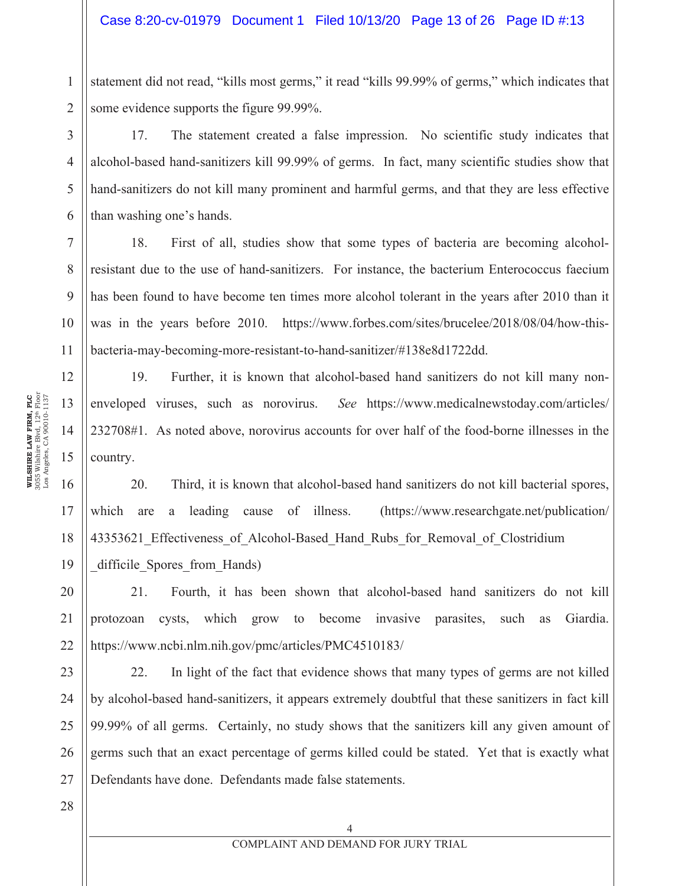1 2 statement did not read, "kills most germs," it read "kills 99.99% of germs," which indicates that some evidence supports the figure 99.99%.

17. The statement created a false impression. No scientific study indicates that alcohol-based hand-sanitizers kill 99.99% of germs. In fact, many scientific studies show that hand-sanitizers do not kill many prominent and harmful germs, and that they are less effective than washing one's hands.

7 8 9 10 11 18. First of all, studies show that some types of bacteria are becoming alcoholresistant due to the use of hand-sanitizers. For instance, the bacterium Enterococcus faecium has been found to have become ten times more alcohol tolerant in the years after 2010 than it was in the years before 2010. https://www.forbes.com/sites/brucelee/2018/08/04/how-thisbacteria-may-becoming-more-resistant-to-hand-sanitizer/#138e8d1722dd.

19. Further, it is known that alcohol-based hand sanitizers do not kill many nonenveloped viruses, such as norovirus. *See* https://www.medicalnewstoday.com/articles/ 232708#1. As noted above, norovirus accounts for over half of the food-borne illnesses in the country.

16 17 18 20. Third, it is known that alcohol-based hand sanitizers do not kill bacterial spores, which are a leading cause of illness. (https://www.researchgate.net/publication/ 43353621 Effectiveness of Alcohol-Based Hand Rubs for Removal of Clostridium difficile Spores from Hands)

21. Fourth, it has been shown that alcohol-based hand sanitizers do not kill protozoan cysts, which grow to become invasive parasites, such as Giardia. https://www.ncbi.nlm.nih.gov/pmc/articles/PMC4510183/

22. In light of the fact that evidence shows that many types of germs are not killed by alcohol-based hand-sanitizers, it appears extremely doubtful that these sanitizers in fact kill 99.99% of all germs. Certainly, no study shows that the sanitizers kill any given amount of germs such that an exact percentage of germs killed could be stated. Yet that is exactly what Defendants have done. Defendants made false statements.

3055 Wilshire Blvd, 12th Floor **WILSHIRE LAW FIRM, PLC**<br>3055 Wilshire Blvd, 12<sup>th</sup> Floor<br>Los Angeles, CA 90010-1137 Los Angeles, CA 90010-1137 **WILSHIRE LAW FIRM, PLC** 

3

4

5

6

12

13

14

15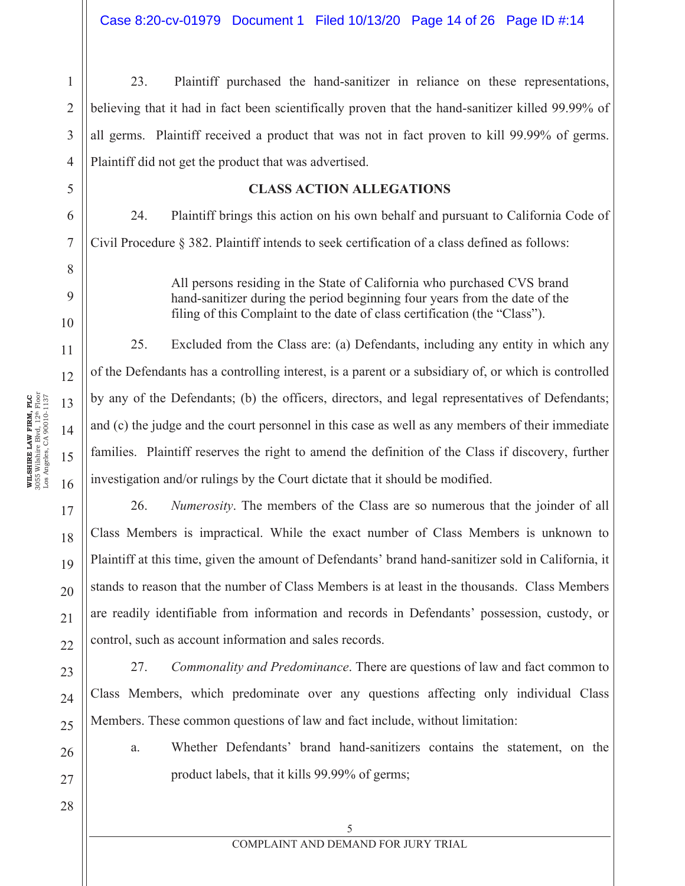23. Plaintiff purchased the hand-sanitizer in reliance on these representations, believing that it had in fact been scientifically proven that the hand-sanitizer killed 99.99% of all germs. Plaintiff received a product that was not in fact proven to kill 99.99% of germs. Plaintiff did not get the product that was advertised.

#### **CLASS ACTION ALLEGATIONS**

24. Plaintiff brings this action on his own behalf and pursuant to California Code of Civil Procedure § 382. Plaintiff intends to seek certification of a class defined as follows:

> All persons residing in the State of California who purchased CVS brand hand-sanitizer during the period beginning four years from the date of the filing of this Complaint to the date of class certification (the "Class").

25. Excluded from the Class are: (a) Defendants, including any entity in which any of the Defendants has a controlling interest, is a parent or a subsidiary of, or which is controlled by any of the Defendants; (b) the officers, directors, and legal representatives of Defendants; and (c) the judge and the court personnel in this case as well as any members of their immediate families. Plaintiff reserves the right to amend the definition of the Class if discovery, further investigation and/or rulings by the Court dictate that it should be modified.

26. *Numerosity*. The members of the Class are so numerous that the joinder of all Class Members is impractical. While the exact number of Class Members is unknown to Plaintiff at this time, given the amount of Defendants' brand hand-sanitizer sold in California, it stands to reason that the number of Class Members is at least in the thousands. Class Members are readily identifiable from information and records in Defendants' possession, custody, or control, such as account information and sales records.

27. *Commonality and Predominance*. There are questions of law and fact common to Class Members, which predominate over any questions affecting only individual Class Members. These common questions of law and fact include, without limitation:

a. Whether Defendants' brand hand-sanitizers contains the statement, on the product labels, that it kills 99.99% of germs;

1

2

3

4

5

6

7

8

9

10

11

12

13

14

15

16

17

18

19

20

21

22

23

24

25

26

27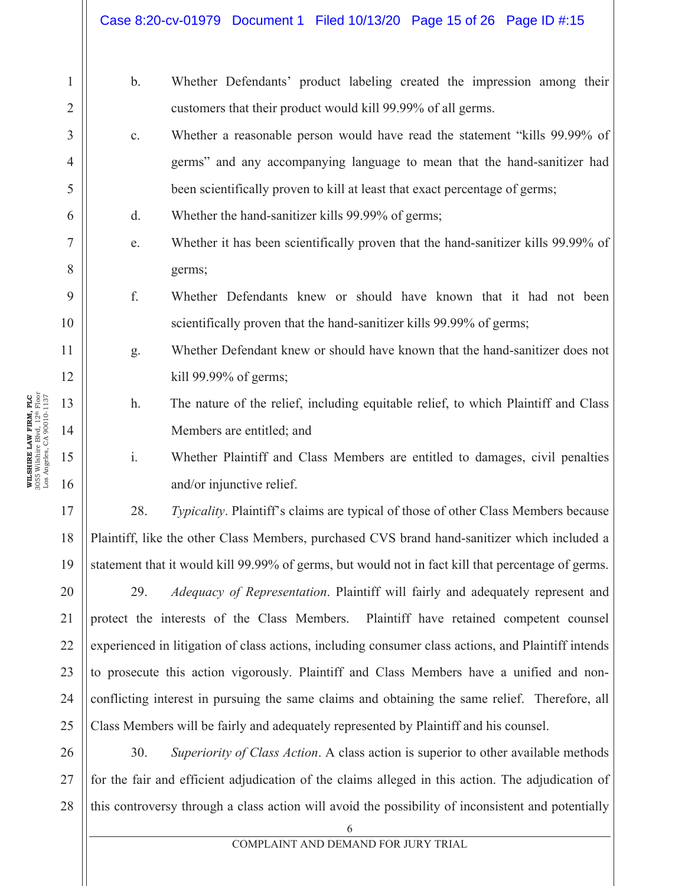# Case 8:20-cv-01979 Document 1 Filed 10/13/20 Page 15 of 26 Page ID #:15

| $\mathbf{1}$   | $\mathbf{b}$ .                                                                                      | Whether Defendants' product labeling created the impression among their                            |  |  |  |
|----------------|-----------------------------------------------------------------------------------------------------|----------------------------------------------------------------------------------------------------|--|--|--|
| $\overline{2}$ |                                                                                                     | customers that their product would kill 99.99% of all germs.                                       |  |  |  |
| 3              | c.                                                                                                  | Whether a reasonable person would have read the statement "kills 99.99% of                         |  |  |  |
| $\overline{4}$ |                                                                                                     | germs" and any accompanying language to mean that the hand-sanitizer had                           |  |  |  |
| 5              |                                                                                                     | been scientifically proven to kill at least that exact percentage of germs;                        |  |  |  |
| 6              | d.                                                                                                  | Whether the hand-sanitizer kills 99.99% of germs;                                                  |  |  |  |
| $\tau$         | e.                                                                                                  | Whether it has been scientifically proven that the hand-sanitizer kills 99.99% of                  |  |  |  |
| 8              |                                                                                                     | germs;                                                                                             |  |  |  |
| 9              | f.                                                                                                  | Whether Defendants knew or should have known that it had not been                                  |  |  |  |
| 10             |                                                                                                     | scientifically proven that the hand-sanitizer kills 99.99% of germs;                               |  |  |  |
| 11             | g.                                                                                                  | Whether Defendant knew or should have known that the hand-sanitizer does not                       |  |  |  |
| 12             |                                                                                                     | kill 99.99% of germs;                                                                              |  |  |  |
| 13             | h.                                                                                                  | The nature of the relief, including equitable relief, to which Plaintiff and Class                 |  |  |  |
| 14             |                                                                                                     | Members are entitled; and                                                                          |  |  |  |
| 15             | $\mathbf{i}$ .                                                                                      | Whether Plaintiff and Class Members are entitled to damages, civil penalties                       |  |  |  |
| 16             |                                                                                                     | and/or injunctive relief.                                                                          |  |  |  |
| 17             | 28.                                                                                                 | Typicality. Plaintiff's claims are typical of those of other Class Members because                 |  |  |  |
| 18             | Plaintiff, like the other Class Members, purchased CVS brand hand-sanitizer which included a        |                                                                                                    |  |  |  |
| 19             |                                                                                                     | statement that it would kill 99.99% of germs, but would not in fact kill that percentage of germs. |  |  |  |
| 20             | 29.                                                                                                 | <i>Adequacy of Representation.</i> Plaintiff will fairly and adequately represent and              |  |  |  |
| 21             | protect the interests of the Class Members. Plaintiff have retained competent counsel               |                                                                                                    |  |  |  |
| 22             | experienced in litigation of class actions, including consumer class actions, and Plaintiff intends |                                                                                                    |  |  |  |
| 23             | to prosecute this action vigorously. Plaintiff and Class Members have a unified and non-            |                                                                                                    |  |  |  |
| 24             | conflicting interest in pursuing the same claims and obtaining the same relief. Therefore, all      |                                                                                                    |  |  |  |
| 25             | Class Members will be fairly and adequately represented by Plaintiff and his counsel.               |                                                                                                    |  |  |  |
| 26             | 30.                                                                                                 | Superiority of Class Action. A class action is superior to other available methods                 |  |  |  |

27 28 for the fair and efficient adjudication of the claims alleged in this action. The adjudication of this controversy through a class action will avoid the possibility of inconsistent and potentially

**WILSHIRE LAW FIRM, PLC**<br>3055 Wilshire Blvd, 12<sup>th</sup> Floor<br>Los Angeles, CA 90010-1137 3055 Wilshire Blvd, 12th Floor Los Angeles, CA 90010-1137 **WILSHIRE LAW FIRM, PLC**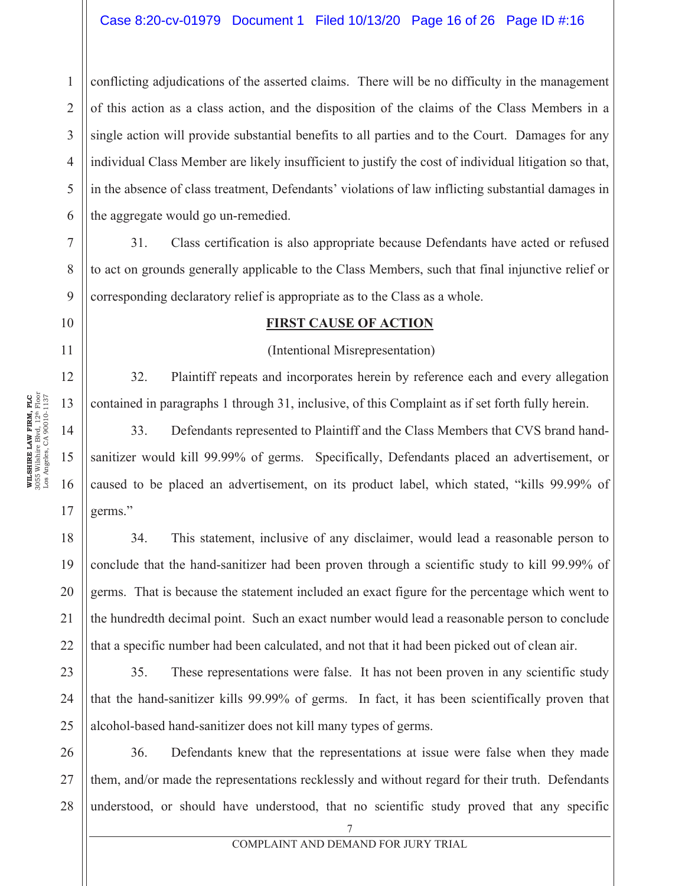#### Case 8:20-cv-01979 Document 1 Filed 10/13/20 Page 16 of 26 Page ID #:16

4 6 conflicting adjudications of the asserted claims. There will be no difficulty in the management of this action as a class action, and the disposition of the claims of the Class Members in a single action will provide substantial benefits to all parties and to the Court. Damages for any individual Class Member are likely insufficient to justify the cost of individual litigation so that, in the absence of class treatment, Defendants' violations of law inflicting substantial damages in the aggregate would go un-remedied.

31. Class certification is also appropriate because Defendants have acted or refused to act on grounds generally applicable to the Class Members, such that final injunctive relief or corresponding declaratory relief is appropriate as to the Class as a whole.

#### **FIRST CAUSE OF ACTION**

(Intentional Misrepresentation)

32. Plaintiff repeats and incorporates herein by reference each and every allegation contained in paragraphs 1 through 31, inclusive, of this Complaint as if set forth fully herein.

33. Defendants represented to Plaintiff and the Class Members that CVS brand handsanitizer would kill 99.99% of germs. Specifically, Defendants placed an advertisement, or caused to be placed an advertisement, on its product label, which stated, "kills 99.99% of germs."

34. This statement, inclusive of any disclaimer, would lead a reasonable person to conclude that the hand-sanitizer had been proven through a scientific study to kill 99.99% of germs. That is because the statement included an exact figure for the percentage which went to the hundredth decimal point. Such an exact number would lead a reasonable person to conclude that a specific number had been calculated, and not that it had been picked out of clean air.

23 24 25 35. These representations were false. It has not been proven in any scientific study that the hand-sanitizer kills 99.99% of germs. In fact, it has been scientifically proven that alcohol-based hand-sanitizer does not kill many types of germs.

26 27 28 36. Defendants knew that the representations at issue were false when they made them, and/or made the representations recklessly and without regard for their truth. Defendants understood, or should have understood, that no scientific study proved that any specific

1

2

3

5

7

8

9

10

11

12

13

14

15

16

17

18

19

20

21

22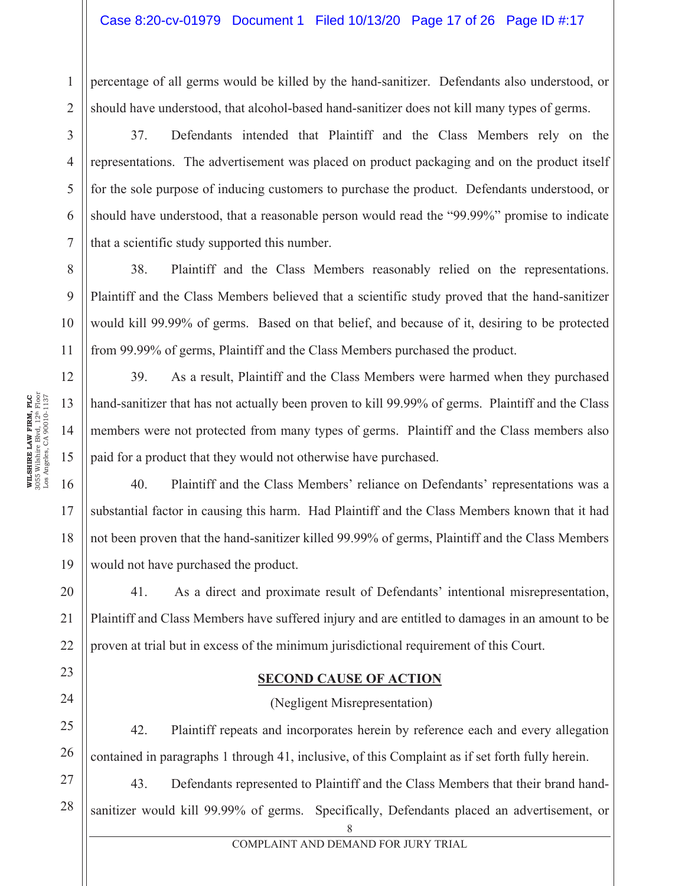1  $\mathfrak{D}$ percentage of all germs would be killed by the hand-sanitizer. Defendants also understood, or should have understood, that alcohol-based hand-sanitizer does not kill many types of germs.

37. Defendants intended that Plaintiff and the Class Members rely on the representations. The advertisement was placed on product packaging and on the product itself for the sole purpose of inducing customers to purchase the product. Defendants understood, or should have understood, that a reasonable person would read the "99.99%" promise to indicate that a scientific study supported this number.

38. Plaintiff and the Class Members reasonably relied on the representations. Plaintiff and the Class Members believed that a scientific study proved that the hand-sanitizer would kill 99.99% of germs. Based on that belief, and because of it, desiring to be protected from 99.99% of germs, Plaintiff and the Class Members purchased the product.

39. As a result, Plaintiff and the Class Members were harmed when they purchased hand-sanitizer that has not actually been proven to kill 99.99% of germs. Plaintiff and the Class members were not protected from many types of germs. Plaintiff and the Class members also paid for a product that they would not otherwise have purchased.

16 17 18 19 40. Plaintiff and the Class Members' reliance on Defendants' representations was a substantial factor in causing this harm. Had Plaintiff and the Class Members known that it had not been proven that the hand-sanitizer killed 99.99% of germs, Plaintiff and the Class Members would not have purchased the product.

20 21 22 41. As a direct and proximate result of Defendants' intentional misrepresentation, Plaintiff and Class Members have suffered injury and are entitled to damages in an amount to be proven at trial but in excess of the minimum jurisdictional requirement of this Court.

#### **SECOND CAUSE OF ACTION**

(Negligent Misrepresentation)

42. Plaintiff repeats and incorporates herein by reference each and every allegation contained in paragraphs 1 through 41, inclusive, of this Complaint as if set forth fully herein.

27 28 43. Defendants represented to Plaintiff and the Class Members that their brand handsanitizer would kill 99.99% of germs. Specifically, Defendants placed an advertisement, or

8

3

4

5

6

7

8

9

10

11

12

13

14

15

23

24

25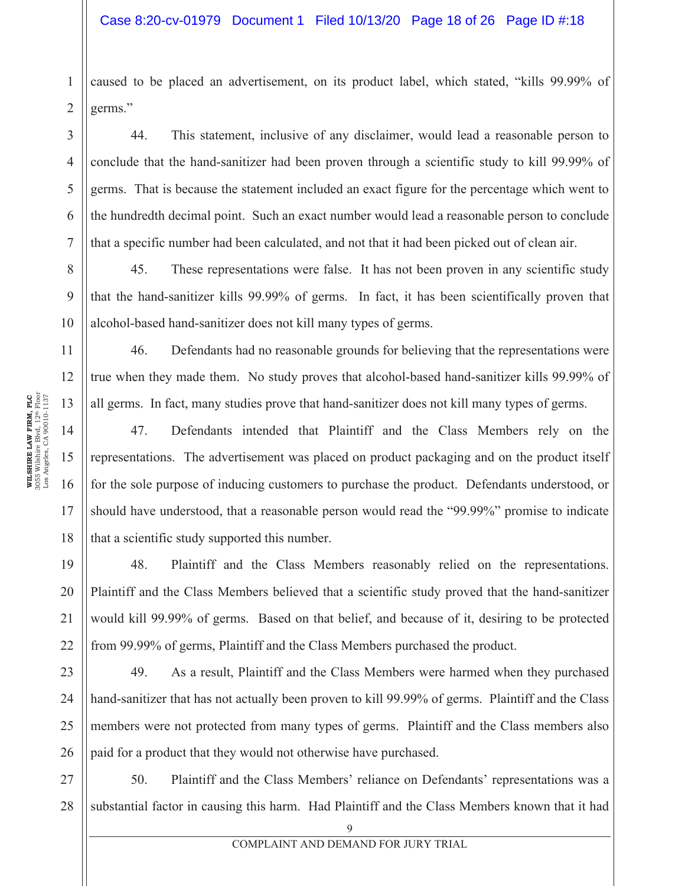#### Case 8:20-cv-01979 Document 1 Filed 10/13/20 Page 18 of 26 Page ID #:18

caused to be placed an advertisement, on its product label, which stated, "kills 99.99% of germs."

44. This statement, inclusive of any disclaimer, would lead a reasonable person to conclude that the hand-sanitizer had been proven through a scientific study to kill 99.99% of germs. That is because the statement included an exact figure for the percentage which went to the hundredth decimal point. Such an exact number would lead a reasonable person to conclude that a specific number had been calculated, and not that it had been picked out of clean air.

8 9 10 45. These representations were false. It has not been proven in any scientific study that the hand-sanitizer kills 99.99% of germs. In fact, it has been scientifically proven that alcohol-based hand-sanitizer does not kill many types of germs.

46. Defendants had no reasonable grounds for believing that the representations were true when they made them. No study proves that alcohol-based hand-sanitizer kills 99.99% of all germs. In fact, many studies prove that hand-sanitizer does not kill many types of germs.

47. Defendants intended that Plaintiff and the Class Members rely on the representations. The advertisement was placed on product packaging and on the product itself for the sole purpose of inducing customers to purchase the product. Defendants understood, or should have understood, that a reasonable person would read the "99.99%" promise to indicate that a scientific study supported this number.

48. Plaintiff and the Class Members reasonably relied on the representations. Plaintiff and the Class Members believed that a scientific study proved that the hand-sanitizer would kill 99.99% of germs. Based on that belief, and because of it, desiring to be protected from 99.99% of germs, Plaintiff and the Class Members purchased the product.

49. As a result, Plaintiff and the Class Members were harmed when they purchased hand-sanitizer that has not actually been proven to kill 99.99% of germs. Plaintiff and the Class members were not protected from many types of germs. Plaintiff and the Class members also paid for a product that they would not otherwise have purchased.

50. Plaintiff and the Class Members' reliance on Defendants' representations was a substantial factor in causing this harm. Had Plaintiff and the Class Members known that it had

1

2

3

4

5

6

7

11

12

13

14

15

16

17

18

19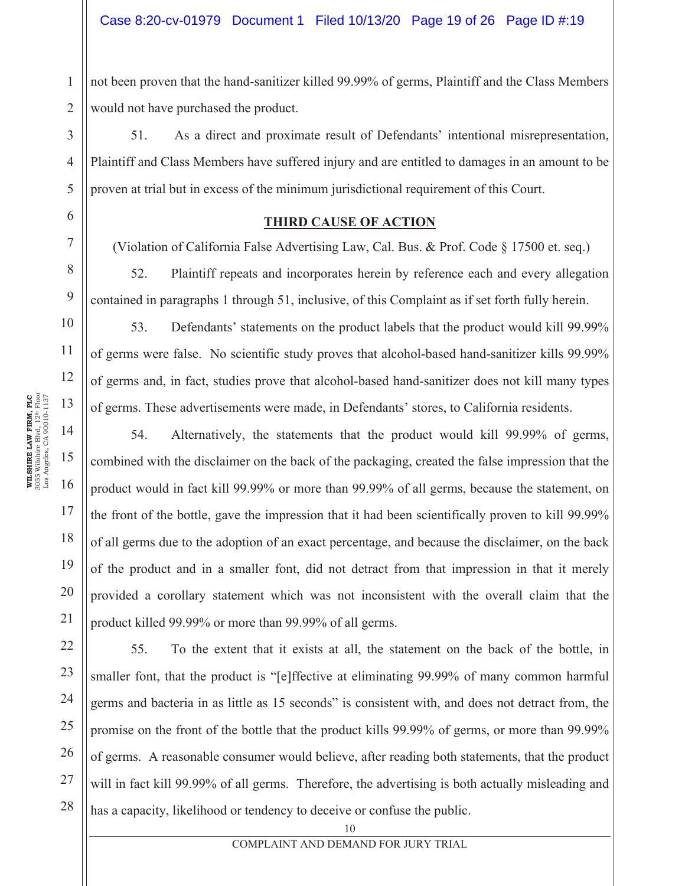2 not been proven that the hand-sanitizer killed 99.99% of germs, Plaintiff and the Class Members would not have purchased the product.

51. As a direct and proximate result of Defendants' intentional misrepresentation, Plaintiff and Class Members have suffered injury and are entitled to damages in an amount to be proven at trial but in excess of the minimum jurisdictional requirement of this Court.

#### **THIRD CAUSE OF ACTION**

(Violation of California False Advertising Law, Cal. Bus. & Prof. Code § 17500 et. seq.)

52. Plaintiff repeats and incorporates herein by reference each and every allegation contained in paragraphs 1 through 51, inclusive, of this Complaint as if set forth fully herein.

53. Defendants' statements on the product labels that the product would kill 99.99% of germs were false. No scientific study proves that alcohol-based hand-sanitizer kills 99.99% of germs and, in fact, studies prove that alcohol-based hand-sanitizer does not kill many types of germs. These advertisements were made, in Defendants' stores, to California residents.

54. Alternatively, the statements that the product would kill 99.99% of germs, combined with the disclaimer on the back of the packaging, created the false impression that the product would in fact kill 99.99% or more than 99.99% of all germs, because the statement, on the front of the bottle, gave the impression that it had been scientifically proven to kill 99.99% of all germs due to the adoption of an exact percentage, and because the disclaimer, on the back of the product and in a smaller font, did not detract from that impression in that it merely provided a corollary statement which was not inconsistent with the overall claim that the product killed 99.99% or more than 99.99% of all germs.

55. To the extent that it exists at all, the statement on the back of the bottle, in smaller font, that the product is "[e]ffective at eliminating 99.99% of many common harmful germs and bacteria in as little as 15 seconds" is consistent with, and does not detract from, the promise on the front of the bottle that the product kills 99.99% of germs, or more than 99.99% of germs. A reasonable consumer would believe, after reading both statements, that the product will in fact kill 99.99% of all germs. Therefore, the advertising is both actually misleading and has a capacity, likelihood or tendency to deceive or confuse the public.

1

3

4

5

6

7

8

9

10

11

12

13

14

15

16

17

18

19

20

21

22

23

24

25

26

27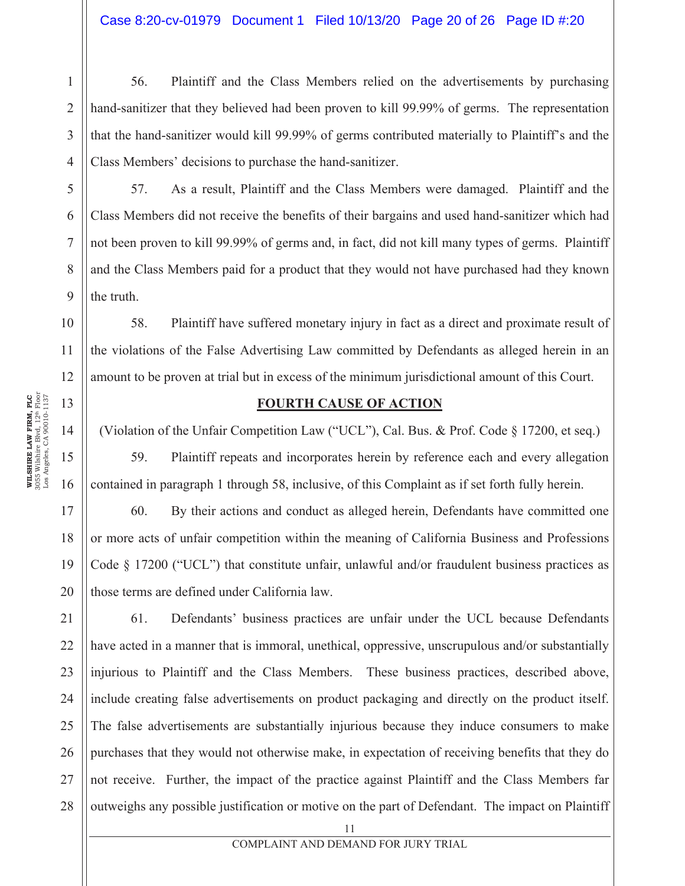56. Plaintiff and the Class Members relied on the advertisements by purchasing hand-sanitizer that they believed had been proven to kill 99.99% of germs. The representation that the hand-sanitizer would kill 99.99% of germs contributed materially to Plaintiff's and the Class Members' decisions to purchase the hand-sanitizer.

57. As a result, Plaintiff and the Class Members were damaged. Plaintiff and the Class Members did not receive the benefits of their bargains and used hand-sanitizer which had not been proven to kill 99.99% of germs and, in fact, did not kill many types of germs. Plaintiff and the Class Members paid for a product that they would not have purchased had they known the truth.

10 12 58. Plaintiff have suffered monetary injury in fact as a direct and proximate result of the violations of the False Advertising Law committed by Defendants as alleged herein in an amount to be proven at trial but in excess of the minimum jurisdictional amount of this Court.

#### **FOURTH CAUSE OF ACTION**

(Violation of the Unfair Competition Law ("UCL"), Cal. Bus. & Prof. Code § 17200, et seq.)

59. Plaintiff repeats and incorporates herein by reference each and every allegation contained in paragraph 1 through 58, inclusive, of this Complaint as if set forth fully herein.

60. By their actions and conduct as alleged herein, Defendants have committed one or more acts of unfair competition within the meaning of California Business and Professions Code § 17200 ("UCL") that constitute unfair, unlawful and/or fraudulent business practices as those terms are defined under California law.

21 22 23 24 25 26 27 28 61. Defendants' business practices are unfair under the UCL because Defendants have acted in a manner that is immoral, unethical, oppressive, unscrupulous and/or substantially injurious to Plaintiff and the Class Members. These business practices, described above, include creating false advertisements on product packaging and directly on the product itself. The false advertisements are substantially injurious because they induce consumers to make purchases that they would not otherwise make, in expectation of receiving benefits that they do not receive. Further, the impact of the practice against Plaintiff and the Class Members far outweighs any possible justification or motive on the part of Defendant. The impact on Plaintiff

1

2

3

4

5

6

7

8

9

11

13

14

15

16

17

18

19

20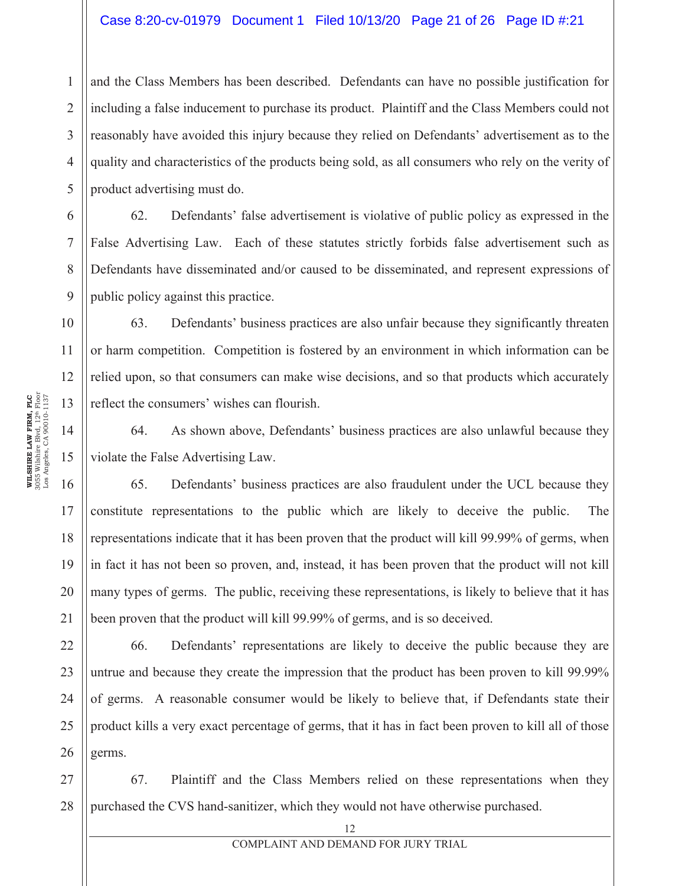#### Case 8:20-cv-01979 Document 1 Filed 10/13/20 Page 21 of 26 Page ID #:21

1 2 3 4 5 and the Class Members has been described. Defendants can have no possible justification for including a false inducement to purchase its product. Plaintiff and the Class Members could not reasonably have avoided this injury because they relied on Defendants' advertisement as to the quality and characteristics of the products being sold, as all consumers who rely on the verity of product advertising must do.

62. Defendants' false advertisement is violative of public policy as expressed in the False Advertising Law. Each of these statutes strictly forbids false advertisement such as Defendants have disseminated and/or caused to be disseminated, and represent expressions of public policy against this practice.

63. Defendants' business practices are also unfair because they significantly threaten or harm competition. Competition is fostered by an environment in which information can be relied upon, so that consumers can make wise decisions, and so that products which accurately reflect the consumers' wishes can flourish.

64. As shown above, Defendants' business practices are also unlawful because they violate the False Advertising Law.

16 18 19 20 65. Defendants' business practices are also fraudulent under the UCL because they constitute representations to the public which are likely to deceive the public. The representations indicate that it has been proven that the product will kill 99.99% of germs, when in fact it has not been so proven, and, instead, it has been proven that the product will not kill many types of germs. The public, receiving these representations, is likely to believe that it has been proven that the product will kill 99.99% of germs, and is so deceived.

22 26 66. Defendants' representations are likely to deceive the public because they are untrue and because they create the impression that the product has been proven to kill 99.99% of germs. A reasonable consumer would be likely to believe that, if Defendants state their product kills a very exact percentage of germs, that it has in fact been proven to kill all of those germs.

27 28 67. Plaintiff and the Class Members relied on these representations when they purchased the CVS hand-sanitizer, which they would not have otherwise purchased.

6

7

8

9

10

11

12

13

14

15

17

21

23

24

25